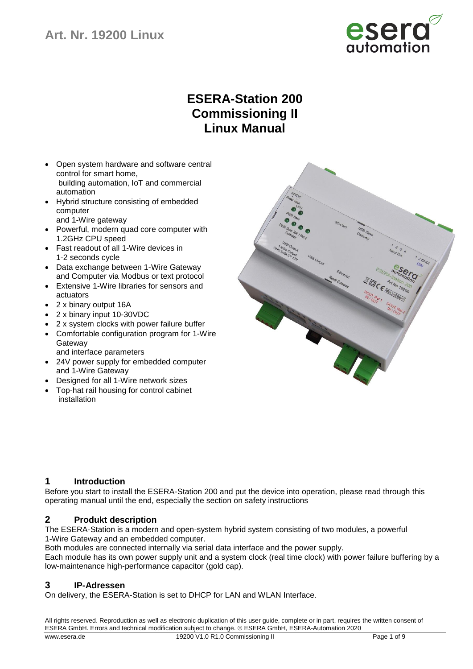

# **ESERA-Station 200 Commissioning II Linux Manual**

- Open system hardware and software central control for smart home, building automation, IoT and commercial automation
- Hybrid structure consisting of embedded computer
- and 1-Wire gateway
- Powerful, modern quad core computer with 1.2GHz CPU speed
- Fast readout of all 1-Wire devices in 1-2 seconds cycle
- Data exchange between 1-Wire Gateway and Computer via Modbus or text protocol
- Extensive 1-Wire libraries for sensors and actuators
- 2 x binary output 16A
- 2 x binary input 10-30VDC
- 2 x system clocks with power failure buffer
- Comfortable configuration program for 1-Wire **Gateway** 
	- and interface parameters
- 24V power supply for embedded computer and 1-Wire Gateway
- Designed for all 1-Wire network sizes
- Top-hat rail housing for control cabinet installation



## **1 Introduction**

Before you start to install the ESERA-Station 200 and put the device into operation, please read through this operating manual until the end, especially the section on safety instructions

## **2 Produkt description**

The ESERA-Station is a modern and open-system hybrid system consisting of two modules, a powerful 1-Wire Gateway and an embedded computer.

Both modules are connected internally via serial data interface and the power supply. Each module has its own power supply unit and a system clock (real time clock) with power failure buffering by a low-maintenance high-performance capacitor (gold cap).

## **3 IP-Adressen**

On delivery, the ESERA-Station is set to DHCP for LAN and WLAN Interface.

All rights reserved. Reproduction as well as electronic duplication of this user guide, complete or in part, requires the written consent of ESERA GmbH. Errors and technical modification subject to change. ESERA GmbH, ESERA-Automation 2020 www.esera.de 19200 V1.0 R1.0 Commissioning II Page 1 of 9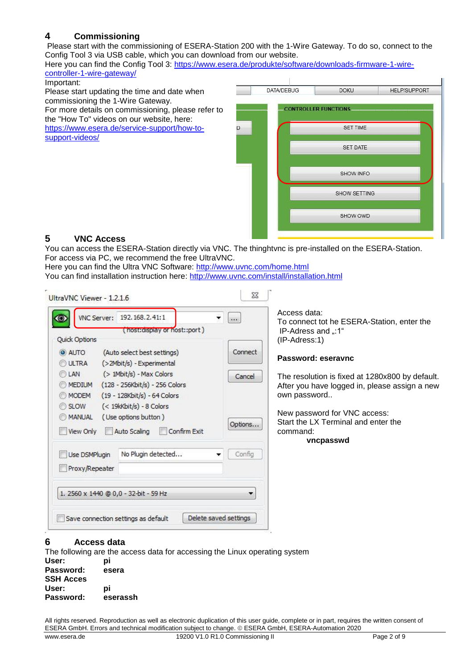# **4 Commissioning**

Please start with the commissioning of ESERA-Station 200 with the 1-Wire Gateway. To do so, connect to the Config Tool 3 via USB cable, which you can download from our website.

Here you can find the Config Tool 3: [https://www.esera.de/produkte/software/downloads-firmware-1-wire](https://www.esera.de/produkte/software/downloads-firmware-1-wire-controller-1-wire-gateway/)[controller-1-wire-gateway/](https://www.esera.de/produkte/software/downloads-firmware-1-wire-controller-1-wire-gateway/)

#### Important:

Please start updating the time and date when commissioning the 1-Wire Gateway. For more details on commissioning, please refer to the "How To" videos on our website, here: [https://www.esera.de/service-support/how-to](https://www.esera.de/service-support/how-to-support-videos/)[support-videos/](https://www.esera.de/service-support/how-to-support-videos/)

| <b>DATA/DEBUG</b> | <b>DOKU</b>                 | <b>HELP/SUPPORT</b> |
|-------------------|-----------------------------|---------------------|
|                   | <b>CONTROLLER FUNCTIONS</b> |                     |
|                   | <b>SET TIME</b>             |                     |
|                   | <b>SET DATE</b>             |                     |
|                   | SHOW INFO                   |                     |
|                   | SHOW SETTING                |                     |
|                   | SHOW OWD                    |                     |

# **5 VNC Access**

You can access the ESERA-Station directly via VNC. The thinghtvnc is pre-installed on the ESERA-Station. For access via PC, we recommend the free UltraVNC.

 $\mathbf{r}$ 

Here you can find the Ultra VNC Software:<http://www.uvnc.com/home.html> You can find installation instruction here:<http://www.uvnc.com/install/installation.html>

| VNC Server: 192.168.2.41:1                                                                                                         | $\overline{\phantom{a}}$<br>$ _{\cos}$ | Access data:<br>To connect tot he ESERA-Station, enter the                                                       |
|------------------------------------------------------------------------------------------------------------------------------------|----------------------------------------|------------------------------------------------------------------------------------------------------------------|
| (host:display or host::port)<br><b>Quick Options</b>                                                                               |                                        | lP-Adress and ":1"<br>$(IP-Adress:1)$                                                                            |
| <b>O</b> AUTO<br>(Auto select best settings)<br>ULTRA<br>(>2Mbit/s) - Experimental                                                 | Connect                                | Password: eseravnc                                                                                               |
| (> 1Mbit/s) - Max Colors<br>LAN<br>0<br>(128 - 256Kbit/s) - 256 Colors<br><b>MEDIUM</b><br>(19 - 128Kbit/s) - 64 Colors<br>MODEM   | Cancel                                 | The resolution is fixed at 1280x800 by default.<br>After you have logged in, please assign a new<br>own password |
| (< 19kKbit/s) - 8 Colors<br><b>SLOW</b><br>(Use options button)<br><b>MANUAL</b><br>0<br>Confirm Exit<br>View Only<br>Auto Scaling | Options                                | New password for VNC access:<br>Start the LX Terminal and enter the<br>command:                                  |
| No Plugin detected<br>Use DSMPlugin<br>Proxy/Repeater                                                                              | Config                                 | vncpasswd                                                                                                        |
| 1. 2560 x 1440 @ 0,0 - 32-bit - 59 Hz                                                                                              |                                        |                                                                                                                  |
| Delete saved settings<br>Save connection settings as default                                                                       |                                        |                                                                                                                  |

## **6 Access data**

The following are the access data for accessing the Linux operating system **User: pi Password: esera SSH Acces User: pi Password: eserassh**

All rights reserved. Reproduction as well as electronic duplication of this user guide, complete or in part, requires the written consent of ESERA GmbH. Errors and technical modification subject to change. ESERA GmbH, ESERA-Automation 2020 www.esera.de 19200 V1.0 R1.0 Commissioning II Page 2 of 9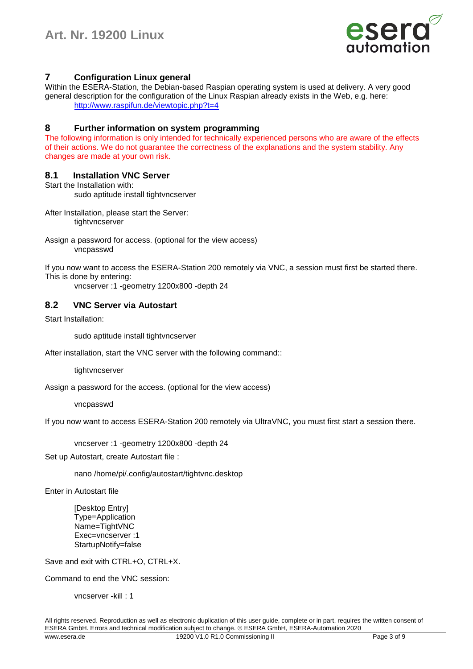

# **7 Configuration Linux general**

Within the ESERA-Station, the Debian-based Raspian operating system is used at delivery. A very good general description for the configuration of the Linux Raspian already exists in the Web, e.g. here: <http://www.raspifun.de/viewtopic.php?t=4>

## **8 Further information on system programming**

The following information is only intended for technically experienced persons who are aware of the effects of their actions. We do not guarantee the correctness of the explanations and the system stability. Any changes are made at your own risk.

## **8.1 Installation VNC Server**

```
Start the Installation with:
```
sudo aptitude install tightvncserver

After Installation, please start the Server: tightvncserver

Assign a password for access. (optional for the view access) vncpasswd

If you now want to access the ESERA-Station 200 remotely via VNC, a session must first be started there. This is done by entering:

vncserver :1 -geometry 1200x800 -depth 24

## **8.2 VNC Server via Autostart**

Start Installation:

sudo aptitude install tightvncserver

After installation, start the VNC server with the following command::

tightvncserver

Assign a password for the access. (optional for the view access)

vncpasswd

If you now want to access ESERA-Station 200 remotely via UltraVNC, you must first start a session there.

vncserver :1 -geometry 1200x800 -depth 24

Set up Autostart, create Autostart file :

nano /home/pi/.config/autostart/tightvnc.desktop

Enter in Autostart file

[Desktop Entry] Type=Application Name=TightVNC Exec=vncserver :1 StartupNotify=false

Save and exit with CTRL+O, CTRL+X.

Command to end the VNC session:

vncserver -kill : 1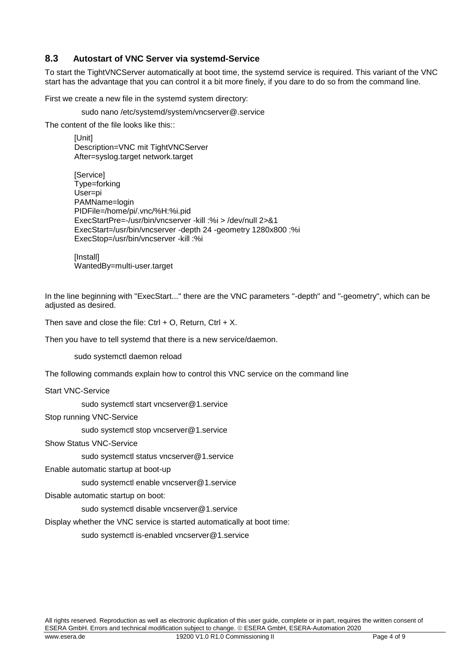## **8.3 Autostart of VNC Server via systemd-Service**

To start the TightVNCServer automatically at boot time, the systemd service is required. This variant of the VNC start has the advantage that you can control it a bit more finely, if you dare to do so from the command line.

First we create a new file in the systemd system directory:

sudo nano /etc/systemd/system/vncserver@.service

The content of the file looks like this::

[Unit] Description=VNC mit TightVNCServer After=syslog.target network.target

[Service] Type=forking User=pi PAMName=login PIDFile=/home/pi/.vnc/%H:%i.pid ExecStartPre=-/usr/bin/vncserver -kill :%i > /dev/null 2>&1 ExecStart=/usr/bin/vncserver -depth 24 -geometry 1280x800 :%i ExecStop=/usr/bin/vncserver -kill :%i

[Install] WantedBy=multi-user.target

In the line beginning with "ExecStart..." there are the VNC parameters "-depth" and "-geometry", which can be adjusted as desired.

Then save and close the file: Ctrl + O, Return, Ctrl + X.

Then you have to tell systemd that there is a new service/daemon.

sudo systemctl daemon reload

The following commands explain how to control this VNC service on the command line

Start VNC-Service

sudo systemctl start vncserver@1.service

Stop running VNC-Service

sudo systemctl stop vncserver@1.service

Show Status VNC-Service

sudo systemctl status vncserver@1.service

Enable automatic startup at boot-up

sudo systemctl enable vncserver@1.service

Disable automatic startup on boot:

sudo systemctl disable vncserver@1.service

Display whether the VNC service is started automatically at boot time:

sudo systemctl is-enabled vncserver@1.service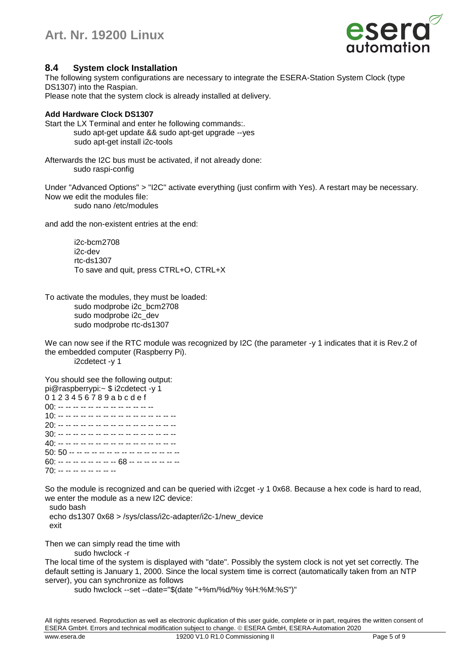

## **8.4 System clock Installation**

The following system configurations are necessary to integrate the ESERA-Station System Clock (type DS1307) into the Raspian. Please note that the system clock is already installed at delivery.

#### **Add Hardware Clock DS1307**

Start the LX Terminal and enter he following commands:. sudo apt-get update && sudo apt-get upgrade --yes sudo apt-get install i2c-tools

Afterwards the I2C bus must be activated, if not already done: sudo raspi-config

Under "Advanced Options" > "I2C" activate everything (just confirm with Yes). A restart may be necessary. Now we edit the modules file: sudo nano /etc/modules

and add the non-existent entries at the end:

i2c-bcm2708 i2c-dev rtc-ds1307 To save and quit, press CTRL+O, CTRL+X

To activate the modules, they must be loaded: sudo modprobe i2c\_bcm2708 sudo modprobe i2c\_dev sudo modprobe rtc-ds1307

We can now see if the RTC module was recognized by I2C (the parameter -y 1 indicates that it is Rev.2 of the embedded computer (Raspberry Pi). i2cdetect -y 1

You should see the following output: pi@raspberrypi:~ \$ i2cdetect -y 1 0 1 2 3 4 5 6 7 8 9 a b c d e f  $00: - - - - - - - - - - - - - - - - - - - - - - 10: -10:$ 20: -- -- -- -- -- -- -- -- -- -- -- -- -- -- -- -- 30: -- -- -- -- -- -- -- -- -- -- -- -- -- -- -- -- 40: -- -- -- -- -- -- -- -- -- -- -- -- -- -- -- -- 50: 50 -- -- -- -- -- -- -- -- -- -- -- -- -- -- -- 60: -- -- -- -- -- -- -- -- 68 -- -- -- -- -- -- --70: -- -- -- -- -- -- -- --

So the module is recognized and can be queried with i2cget -y 1 0x68. Because a hex code is hard to read, we enter the module as a new I2C device:

sudo bash

 echo ds1307 0x68 > /sys/class/i2c-adapter/i2c-1/new\_device exit

Then we can simply read the time with

sudo hwclock -r

The local time of the system is displayed with "date". Possibly the system clock is not yet set correctly. The default setting is January 1, 2000. Since the local system time is correct (automatically taken from an NTP server), you can synchronize as follows

sudo hwclock --set --date="\$(date "+%m/%d/%y %H:%M:%S")"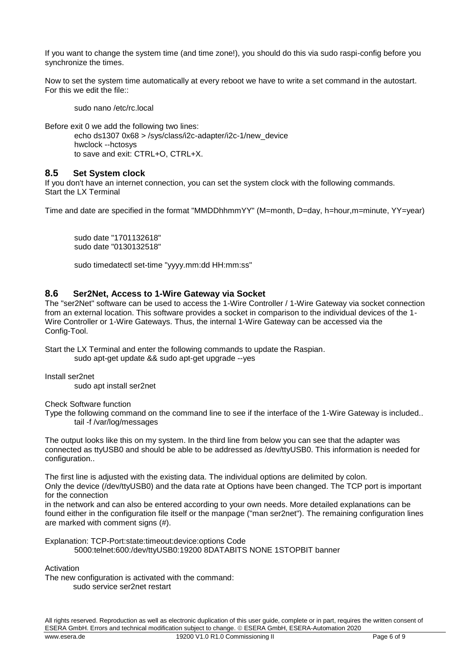If you want to change the system time (and time zone!), you should do this via sudo raspi-config before you synchronize the times.

Now to set the system time automatically at every reboot we have to write a set command in the autostart. For this we edit the file::

sudo nano /etc/rc.local

Before exit 0 we add the following two lines:

echo ds1307 0x68 > /sys/class/i2c-adapter/i2c-1/new\_device hwclock --hctosys to save and exit: CTRL+O, CTRL+X.

## **8.5 Set System clock**

If you don't have an internet connection, you can set the system clock with the following commands. Start the LX Terminal

Time and date are specified in the format "MMDDhhmmYY" (M=month, D=day, h=hour,m=minute, YY=year)

sudo date "1701132618" sudo date "0130132518"

sudo timedatectl set-time "yyyy.mm:dd HH:mm:ss"

## **8.6 Ser2Net, Access to 1-Wire Gateway via Socket**

The "ser2Net" software can be used to access the 1-Wire Controller / 1-Wire Gateway via socket connection from an external location. This software provides a socket in comparison to the individual devices of the 1- Wire Controller or 1-Wire Gateways. Thus, the internal 1-Wire Gateway can be accessed via the Config-Tool.

Start the LX Terminal and enter the following commands to update the Raspian. sudo apt-get update && sudo apt-get upgrade --yes

Install ser2net

sudo apt install ser2net

Check Software function

Type the following command on the command line to see if the interface of the 1-Wire Gateway is included.. tail -f /var/log/messages

The output looks like this on my system. In the third line from below you can see that the adapter was connected as ttyUSB0 and should be able to be addressed as /dev/ttyUSB0. This information is needed for configuration..

The first line is adjusted with the existing data. The individual options are delimited by colon. Only the device (/dev/ttyUSB0) and the data rate at Options have been changed. The TCP port is important for the connection

in the network and can also be entered according to your own needs. More detailed explanations can be found either in the configuration file itself or the manpage ("man ser2net"). The remaining configuration lines are marked with comment signs (#).

Explanation: TCP-Port:state:timeout:device:options Code 5000:telnet:600:/dev/ttyUSB0:19200 8DATABITS NONE 1STOPBIT banner

Activation

The new configuration is activated with the command: sudo service ser2net restart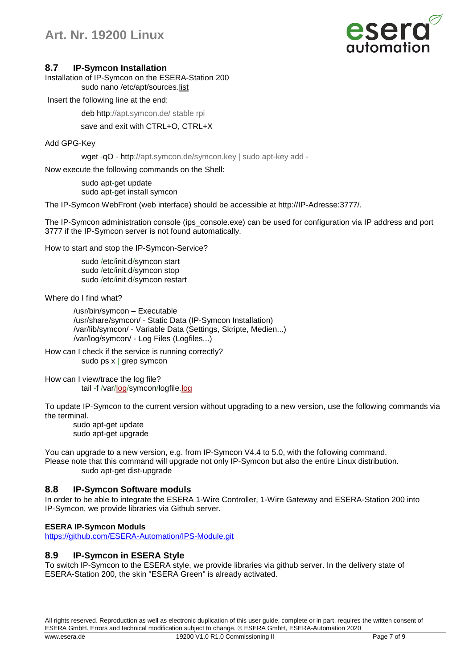

### **8.7 IP-Symcon Installation**

Installation of IP-Symcon on the ESERA-Station 200 sudo nano /etc/apt/sources[.list](http://www.php.net/list)

Insert the following line at the end:

deb http://apt.symcon.de/ stable rpi

save and exit with CTRL+O, CTRL+X

Add GPG-Key

wget -qO - http://apt.symcon.de/symcon.key | sudo apt-key add -

Now execute the following commands on the Shell:

sudo apt-get update sudo apt-get install symcon

The IP-Symcon WebFront (web interface) should be accessible at http://IP-Adresse:3777/.

The IP-Symcon administration console (ips\_console.exe) can be used for configuration via IP address and port 3777 if the IP-Symcon server is not found automatically.

How to start and stop the IP-Symcon-Service?

sudo /etc/init.d/symcon start sudo /etc/init.d/symcon stop sudo /etc/init.d/symcon restart

Where do I find what?

/usr/bin/symcon – Executable /usr/share/symcon/ - Static Data (IP-Symcon Installation) /var/lib/symcon/ - Variable Data (Settings, Skripte, Medien...) /var/log/symcon/ - Log Files (Logfiles...)

How can I check if the service is running correctly? sudo ps x | grep symcon

How can I view/trace the log file? tail -f /var[/log/](http://www.php.net/log)symcon/logfile[.log](http://www.php.net/log)

To update IP-Symcon to the current version without upgrading to a new version, use the following commands via the terminal.

sudo apt-get update sudo apt-get upgrade

You can upgrade to a new version, e.g. from IP-Symcon V4.4 to 5.0, with the following command. Please note that this command will upgrade not only IP-Symcon but also the entire Linux distribution. sudo apt-get dist-upgrade

## **8.8 IP-Symcon Software moduls**

In order to be able to integrate the ESERA 1-Wire Controller, 1-Wire Gateway and ESERA-Station 200 into IP-Symcon, we provide libraries via Github server.

#### **ESERA IP-Symcon Moduls**

<https://github.com/ESERA-Automation/IPS-Module.git>

## **8.9 IP-Symcon in ESERA Style**

To switch IP-Symcon to the ESERA style, we provide libraries via github server. In the delivery state of ESERA-Station 200, the skin "ESERA Green" is already activated.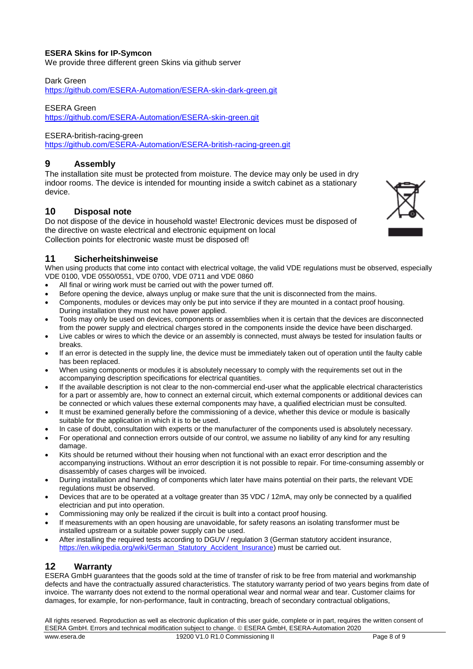## **ESERA Skins for IP-Symcon**

We provide three different green Skins via github server

#### Dark Green

<https://github.com/ESERA-Automation/ESERA-skin-dark-green.git>

#### ESERA Green

<https://github.com/ESERA-Automation/ESERA-skin-green.git>

#### ESERA-british-racing-green

<https://github.com/ESERA-Automation/ESERA-british-racing-green.git>

## **9 Assembly**

The installation site must be protected from moisture. The device may only be used in dry indoor rooms. The device is intended for mounting inside a switch cabinet as a stationary device.

## **10 Disposal note**

Do not dispose of the device in household waste! Electronic devices must be disposed of the directive on waste electrical and electronic equipment on local Collection points for electronic waste must be disposed of!

# **11 Sicherheitshinweise**

When using products that come into contact with electrical voltage, the valid VDE regulations must be observed, especially VDE 0100, VDE 0550/0551, VDE 0700, VDE 0711 and VDE 0860

- All final or wiring work must be carried out with the power turned off.
- Before opening the device, always unplug or make sure that the unit is disconnected from the mains.
- Components, modules or devices may only be put into service if they are mounted in a contact proof housing. During installation they must not have power applied.
- Tools may only be used on devices, components or assemblies when it is certain that the devices are disconnected from the power supply and electrical charges stored in the components inside the device have been discharged.
- Live cables or wires to which the device or an assembly is connected, must always be tested for insulation faults or breaks.
- If an error is detected in the supply line, the device must be immediately taken out of operation until the faulty cable has been replaced.
- When using components or modules it is absolutely necessary to comply with the requirements set out in the accompanying description specifications for electrical quantities.
- If the available description is not clear to the non-commercial end-user what the applicable electrical characteristics for a part or assembly are, how to connect an external circuit, which external components or additional devices can be connected or which values these external components may have, a qualified electrician must be consulted.
- It must be examined generally before the commissioning of a device, whether this device or module is basically suitable for the application in which it is to be used.
- In case of doubt, consultation with experts or the manufacturer of the components used is absolutely necessary.
- For operational and connection errors outside of our control, we assume no liability of any kind for any resulting damage.
- Kits should be returned without their housing when not functional with an exact error description and the accompanying instructions. Without an error description it is not possible to repair. For time-consuming assembly or disassembly of cases charges will be invoiced.
- During installation and handling of components which later have mains potential on their parts, the relevant VDE regulations must be observed.
- Devices that are to be operated at a voltage greater than 35 VDC / 12mA, may only be connected by a qualified electrician and put into operation.
- Commissioning may only be realized if the circuit is built into a contact proof housing.
- If measurements with an open housing are unavoidable, for safety reasons an isolating transformer must be installed upstream or a suitable power supply can be used.
- After installing the required tests according to DGUV / regulation 3 (German statutory accident insurance, [https://en.wikipedia.org/wiki/German\\_Statutory\\_Accident\\_Insurance\)](https://en.wikipedia.org/wiki/German_Statutory_Accident_Insurance) must be carried out.

## **12 Warranty**

ESERA GmbH guarantees that the goods sold at the time of transfer of risk to be free from material and workmanship defects and have the contractually assured characteristics. The statutory warranty period of two years begins from date of invoice. The warranty does not extend to the normal operational wear and normal wear and tear. Customer claims for damages, for example, for non-performance, fault in contracting, breach of secondary contractual obligations,

All rights reserved. Reproduction as well as electronic duplication of this user guide, complete or in part, requires the written consent of ESERA GmbH. Errors and technical modification subject to change. ESERA GmbH, ESERA-Automation 2020 www.esera.de 19200 V1.0 R1.0 Commissioning II Page 8 of 9